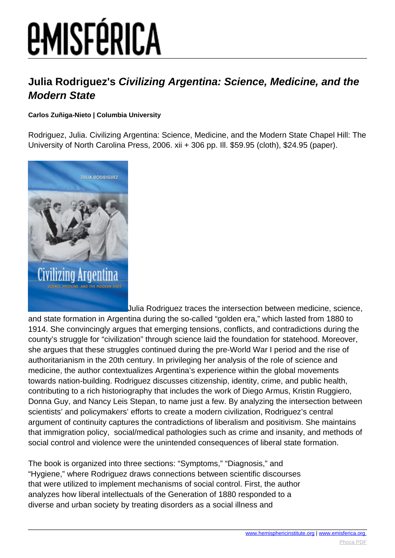# **EMISFÉRICA**

### **Julia Rodriguez's Civilizing Argentina: Science, Medicine, and the Modern State**

#### **Carlos Zuñiga-Nieto | Columbia University**

Rodriguez, Julia. Civilizing Argentina: Science, Medicine, and the Modern State Chapel Hill: The University of North Carolina Press, 2006. xii + 306 pp. Ill. \$59.95 (cloth), \$24.95 (paper).



Julia Rodriguez traces the intersection between medicine, science,

and state formation in Argentina during the so-called "golden era," which lasted from 1880 to 1914. She convincingly argues that emerging tensions, conflicts, and contradictions during the county's struggle for "civilization" through science laid the foundation for statehood. Moreover, she argues that these struggles continued during the pre-World War I period and the rise of authoritarianism in the 20th century. In privileging her analysis of the role of science and medicine, the author contextualizes Argentina's experience within the global movements towards nation-building. Rodriguez discusses citizenship, identity, crime, and public health, contributing to a rich historiography that includes the work of Diego Armus, Kristin Ruggiero, Donna Guy, and Nancy Leis Stepan, to name just a few. By analyzing the intersection between scientists' and policymakers' efforts to create a modern civilization, Rodriguez's central argument of continuity captures the contradictions of liberalism and positivism. She maintains that immigration policy, social/medical pathologies such as crime and insanity, and methods of social control and violence were the unintended consequences of liberal state formation.

The book is organized into three sections: "Symptoms," "Diagnosis," and "Hygiene," where Rodriguez draws connections between scientific discourses that were utilized to implement mechanisms of social control. First, the author analyzes how liberal intellectuals of the Generation of 1880 responded to a diverse and urban society by treating disorders as a social illness and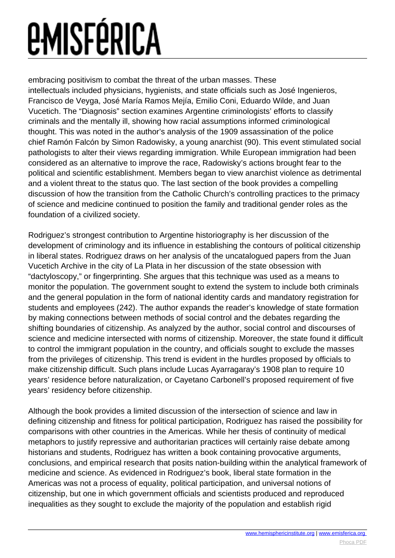## *<u>EMISFÉRICA</u>*

embracing positivism to combat the threat of the urban masses. These intellectuals included physicians, hygienists, and state officials such as José Ingenieros, Francisco de Veyga, José María Ramos Mejía, Emilio Coni, Eduardo Wilde, and Juan Vucetich. The "Diagnosis" section examines Argentine criminologists' efforts to classify criminals and the mentally ill, showing how racial assumptions informed criminological thought. This was noted in the author's analysis of the 1909 assassination of the police chief Ramón Falcón by Simon Radowisky, a young anarchist (90). This event stimulated social pathologists to alter their views regarding immigration. While European immigration had been considered as an alternative to improve the race, Radowisky's actions brought fear to the political and scientific establishment. Members began to view anarchist violence as detrimental and a violent threat to the status quo. The last section of the book provides a compelling discussion of how the transition from the Catholic Church's controlling practices to the primacy of science and medicine continued to position the family and traditional gender roles as the foundation of a civilized society.

Rodriguez's strongest contribution to Argentine historiography is her discussion of the development of criminology and its influence in establishing the contours of political citizenship in liberal states. Rodriguez draws on her analysis of the uncatalogued papers from the Juan Vucetich Archive in the city of La Plata in her discussion of the state obsession with "dactyloscopy," or fingerprinting. She argues that this technique was used as a means to monitor the population. The government sought to extend the system to include both criminals and the general population in the form of national identity cards and mandatory registration for students and employees (242). The author expands the reader's knowledge of state formation by making connections between methods of social control and the debates regarding the shifting boundaries of citizenship. As analyzed by the author, social control and discourses of science and medicine intersected with norms of citizenship. Moreover, the state found it difficult to control the immigrant population in the country, and officials sought to exclude the masses from the privileges of citizenship. This trend is evident in the hurdles proposed by officials to make citizenship difficult. Such plans include Lucas Ayarragaray's 1908 plan to require 10 years' residence before naturalization, or Cayetano Carbonell's proposed requirement of five years' residency before citizenship.

Although the book provides a limited discussion of the intersection of science and law in defining citizenship and fitness for political participation, Rodriguez has raised the possibility for comparisons with other countries in the Americas. While her thesis of continuity of medical metaphors to justify repressive and authoritarian practices will certainly raise debate among historians and students, Rodriguez has written a book containing provocative arguments, conclusions, and empirical research that posits nation-building within the analytical framework of medicine and science. As evidenced in Rodriguez's book, liberal state formation in the Americas was not a process of equality, political participation, and universal notions of citizenship, but one in which government officials and scientists produced and reproduced inequalities as they sought to exclude the majority of the population and establish rigid